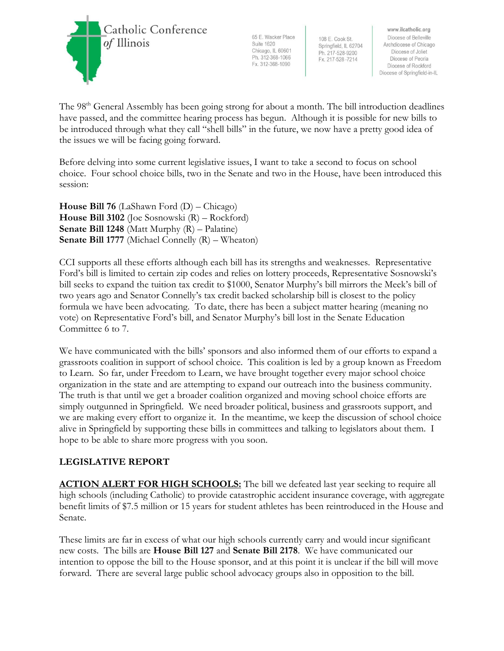

65 E. Wacker Place **Suite 1620** Chicago, IL 60601 Ph. 312-368-1066 Fx. 312-368-1090

108 E. Cook St. Springfield, IL 62704 Ph. 217-528-9200 Fx. 217-528-7214

www.ilcatholic.org Diocese of Belleville Archdiocese of Chicago Diocese of Joliet Diocese of Peoria Diocese of Rockford Diocese of Springfield-in-IL

The 98<sup>th</sup> General Assembly has been going strong for about a month. The bill introduction deadlines have passed, and the committee hearing process has begun. Although it is possible for new bills to be introduced through what they call "shell bills" in the future, we now have a pretty good idea of the issues we will be facing going forward.

Before delving into some current legislative issues, I want to take a second to focus on school choice. Four school choice bills, two in the Senate and two in the House, have been introduced this session:

**House Bill 76** (LaShawn Ford (D) – Chicago) **House Bill 3102** (Joe Sosnowski (R) – Rockford) **Senate Bill 1248** (Matt Murphy (R) – Palatine) **Senate Bill 1777** (Michael Connelly (R) – Wheaton)

CCI supports all these efforts although each bill has its strengths and weaknesses. Representative Ford's bill is limited to certain zip codes and relies on lottery proceeds, Representative Sosnowski's bill seeks to expand the tuition tax credit to \$1000, Senator Murphy's bill mirrors the Meek's bill of two years ago and Senator Connelly's tax credit backed scholarship bill is closest to the policy formula we have been advocating. To date, there has been a subject matter hearing (meaning no vote) on Representative Ford's bill, and Senator Murphy's bill lost in the Senate Education Committee 6 to 7.

We have communicated with the bills' sponsors and also informed them of our efforts to expand a grassroots coalition in support of school choice. This coalition is led by a group known as Freedom to Learn. So far, under Freedom to Learn, we have brought together every major school choice organization in the state and are attempting to expand our outreach into the business community. The truth is that until we get a broader coalition organized and moving school choice efforts are simply outgunned in Springfield. We need broader political, business and grassroots support, and we are making every effort to organize it. In the meantime, we keep the discussion of school choice alive in Springfield by supporting these bills in committees and talking to legislators about them. I hope to be able to share more progress with you soon.

## **LEGISLATIVE REPORT**

**ACTION ALERT FOR HIGH SCHOOLS:** The bill we defeated last year seeking to require all high schools (including Catholic) to provide catastrophic accident insurance coverage, with aggregate benefit limits of \$7.5 million or 15 years for student athletes has been reintroduced in the House and Senate.

These limits are far in excess of what our high schools currently carry and would incur significant new costs. The bills are **House Bill 127** and **Senate Bill 2178**. We have communicated our intention to oppose the bill to the House sponsor, and at this point it is unclear if the bill will move forward. There are several large public school advocacy groups also in opposition to the bill.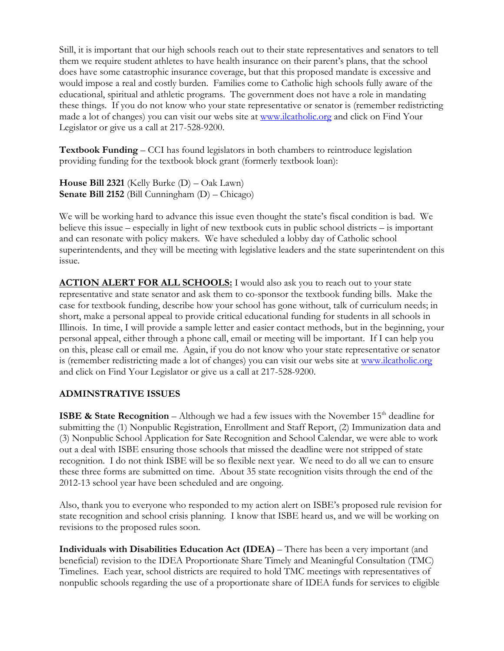Still, it is important that our high schools reach out to their state representatives and senators to tell them we require student athletes to have health insurance on their parent's plans, that the school does have some catastrophic insurance coverage, but that this proposed mandate is excessive and would impose a real and costly burden. Families come to Catholic high schools fully aware of the educational, spiritual and athletic programs. The government does not have a role in mandating these things. If you do not know who your state representative or senator is (remember redistricting made a lot of changes) you can visit our webs site at [www.ilcatholic.org](http://www.ilcatholic.org/) and click on Find Your Legislator or give us a call at 217-528-9200.

**Textbook Funding** – CCI has found legislators in both chambers to reintroduce legislation providing funding for the textbook block grant (formerly textbook loan):

**House Bill 2321** (Kelly Burke (D) – Oak Lawn) **Senate Bill 2152** (Bill Cunningham (D) – Chicago)

We will be working hard to advance this issue even thought the state's fiscal condition is bad. We believe this issue – especially in light of new textbook cuts in public school districts – is important and can resonate with policy makers. We have scheduled a lobby day of Catholic school superintendents, and they will be meeting with legislative leaders and the state superintendent on this issue.

**ACTION ALERT FOR ALL SCHOOLS:** I would also ask you to reach out to your state representative and state senator and ask them to co-sponsor the textbook funding bills. Make the case for textbook funding, describe how your school has gone without, talk of curriculum needs; in short, make a personal appeal to provide critical educational funding for students in all schools in Illinois. In time, I will provide a sample letter and easier contact methods, but in the beginning, your personal appeal, either through a phone call, email or meeting will be important. If I can help you on this, please call or email me. Again, if you do not know who your state representative or senator is (remember redistricting made a lot of changes) you can visit our webs site at [www.ilcatholic.org](http://www.ilcatholic.org/) and click on Find Your Legislator or give us a call at 217-528-9200.

## **ADMINSTRATIVE ISSUES**

**ISBE & State Recognition** – Although we had a few issues with the November  $15<sup>th</sup>$  deadline for submitting the (1) Nonpublic Registration, Enrollment and Staff Report, (2) Immunization data and (3) Nonpublic School Application for Sate Recognition and School Calendar, we were able to work out a deal with ISBE ensuring those schools that missed the deadline were not stripped of state recognition. I do not think ISBE will be so flexible next year. We need to do all we can to ensure these three forms are submitted on time. About 35 state recognition visits through the end of the 2012-13 school year have been scheduled and are ongoing.

Also, thank you to everyone who responded to my action alert on ISBE's proposed rule revision for state recognition and school crisis planning. I know that ISBE heard us, and we will be working on revisions to the proposed rules soon.

**Individuals with Disabilities Education Act (IDEA)** – There has been a very important (and beneficial) revision to the IDEA Proportionate Share Timely and Meaningful Consultation (TMC) Timelines. Each year, school districts are required to hold TMC meetings with representatives of nonpublic schools regarding the use of a proportionate share of IDEA funds for services to eligible